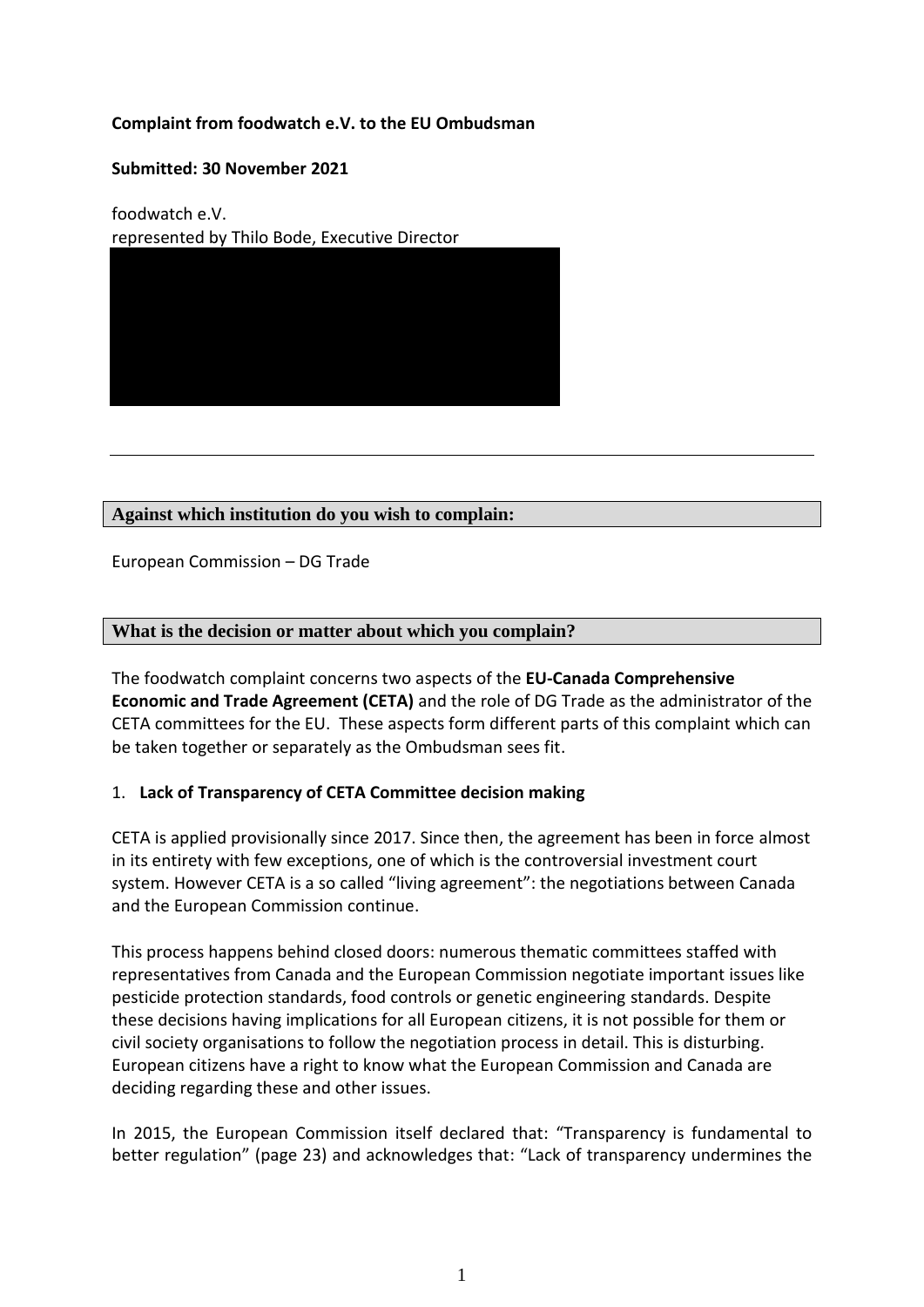# **Complaint from foodwatch e.V. to the EU Ombudsman**

#### **Submitted: 30 November 2021**

foodwatch e.V. represented by Thilo Bode, Executive Director



## **Against which institution do you wish to complain:**

European Commission – DG Trade

## **What is the decision or matter about which you complain?**

The foodwatch complaint concerns two aspects of the **EU-Canada Comprehensive Economic and Trade Agreement (CETA)** and the role of DG Trade as the administrator of the CETA committees for the EU. These aspects form different parts of this complaint which can be taken together or separately as the Ombudsman sees fit.

#### 1. **Lack of Transparency of CETA Committee decision making**

CETA is applied provisionally since 2017. Since then, the agreement has been in force almost in its entirety with few exceptions, one of which is the controversial investment court system. However CETA is a so called "living agreement": the negotiations between Canada and the European Commission continue.

This process happens behind closed doors: numerous thematic committees staffed with representatives from Canada and the European Commission negotiate important issues like pesticide protection standards, food controls or genetic engineering standards. Despite these decisions having implications for all European citizens, it is not possible for them or civil society organisations to follow the negotiation process in detail. This is disturbing. European citizens have a right to know what the European Commission and Canada are deciding regarding these and other issues.

In 2015, the European Commission itself declared that: "Transparency is fundamental to better regulation" (page 23) and acknowledges that: "Lack of transparency undermines the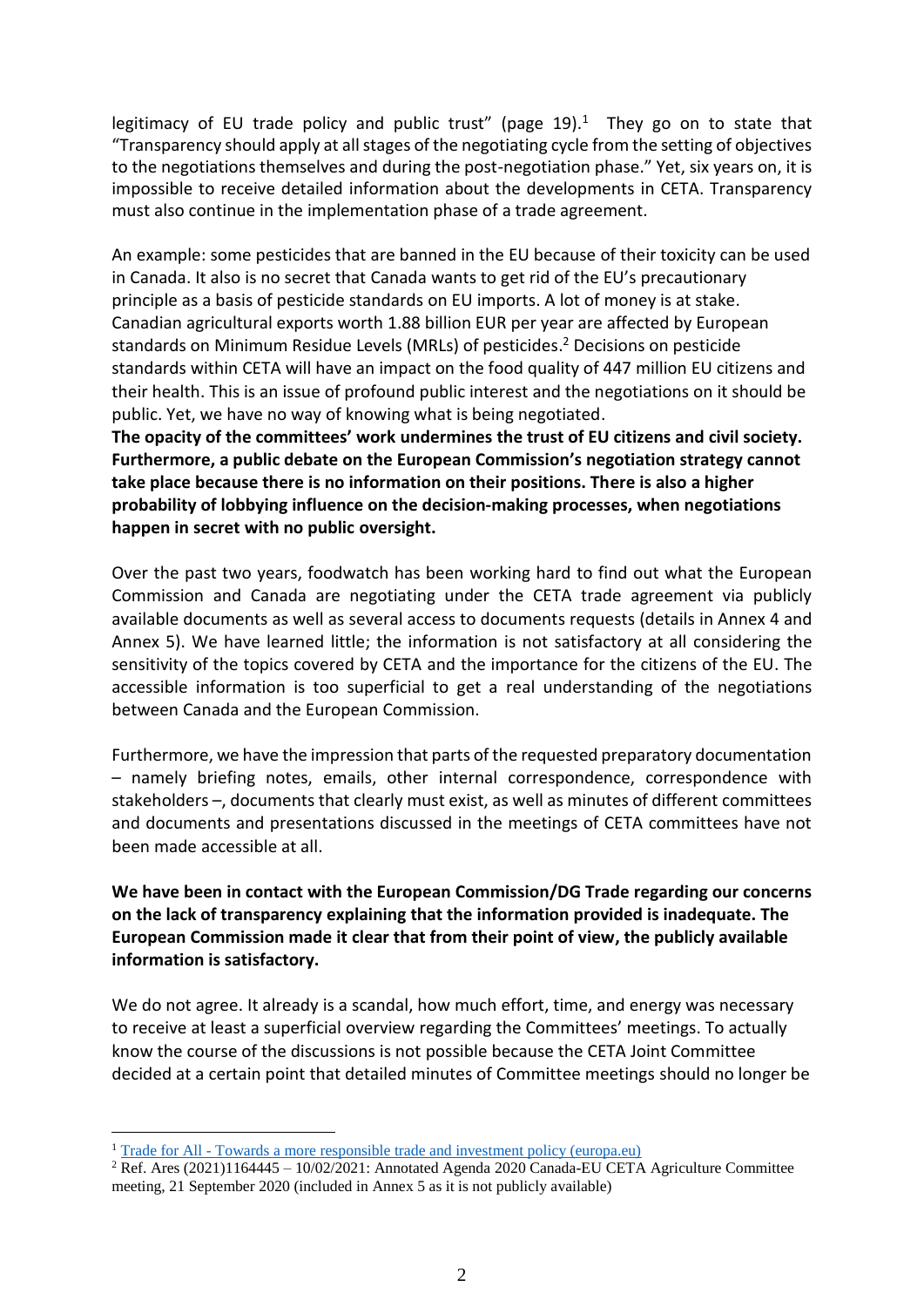legitimacy of EU trade policy and public trust" (page  $19$ ).<sup>1</sup> They go on to state that "Transparency should apply at all stages of the negotiating cycle from the setting of objectives to the negotiations themselves and during the post-negotiation phase." Yet, six years on, it is impossible to receive detailed information about the developments in CETA. Transparency must also continue in the implementation phase of a trade agreement.

An example: some pesticides that are banned in the EU because of their toxicity can be used in Canada. It also is no secret that Canada wants to get rid of the EU's precautionary principle as a basis of pesticide standards on EU imports. A lot of money is at stake. Canadian agricultural exports worth 1.88 billion EUR per year are affected by European standards on Minimum Residue Levels (MRLs) of pesticides. <sup>2</sup> Decisions on pesticide standards within CETA will have an impact on the food quality of 447 million EU citizens and their health. This is an issue of profound public interest and the negotiations on it should be public. Yet, we have no way of knowing what is being negotiated.

**The opacity of the committees' work undermines the trust of EU citizens and civil society. Furthermore, a public debate on the European Commission's negotiation strategy cannot take place because there is no information on their positions. There is also a higher probability of lobbying influence on the decision-making processes, when negotiations happen in secret with no public oversight.** 

Over the past two years, foodwatch has been working hard to find out what the European Commission and Canada are negotiating under the CETA trade agreement via publicly available documents as well as several access to documents requests (details in Annex 4 and Annex 5). We have learned little; the information is not satisfactory at all considering the sensitivity of the topics covered by CETA and the importance for the citizens of the EU. The accessible information is too superficial to get a real understanding of the negotiations between Canada and the European Commission.

Furthermore, we have the impression that parts of the requested preparatory documentation – namely briefing notes, emails, other internal correspondence, correspondence with stakeholders –, documents that clearly must exist, as well as minutes of different committees and documents and presentations discussed in the meetings of CETA committees have not been made accessible at all.

**We have been in contact with the European Commission/DG Trade regarding our concerns on the lack of transparency explaining that the information provided is inadequate. The European Commission made it clear that from their point of view, the publicly available information is satisfactory.** 

We do not agree. It already is a scandal, how much effort, time, and energy was necessary to receive at least a superficial overview regarding the Committees' meetings. To actually know the course of the discussions is not possible because the CETA Joint Committee decided at a certain point that detailed minutes of Committee meetings should no longer be

<u>.</u>

<sup>1</sup> Trade for All - [Towards a more responsible trade and investment policy \(europa.eu\)](https://trade.ec.europa.eu/doclib/docs/2015/october/tradoc_153846.pdf)

<sup>&</sup>lt;sup>2</sup> Ref. Ares  $(2021)1164445 - 1002/2021$ : Annotated Agenda 2020 Canada-EU CETA Agriculture Committee meeting, 21 September 2020 (included in Annex 5 as it is not publicly available)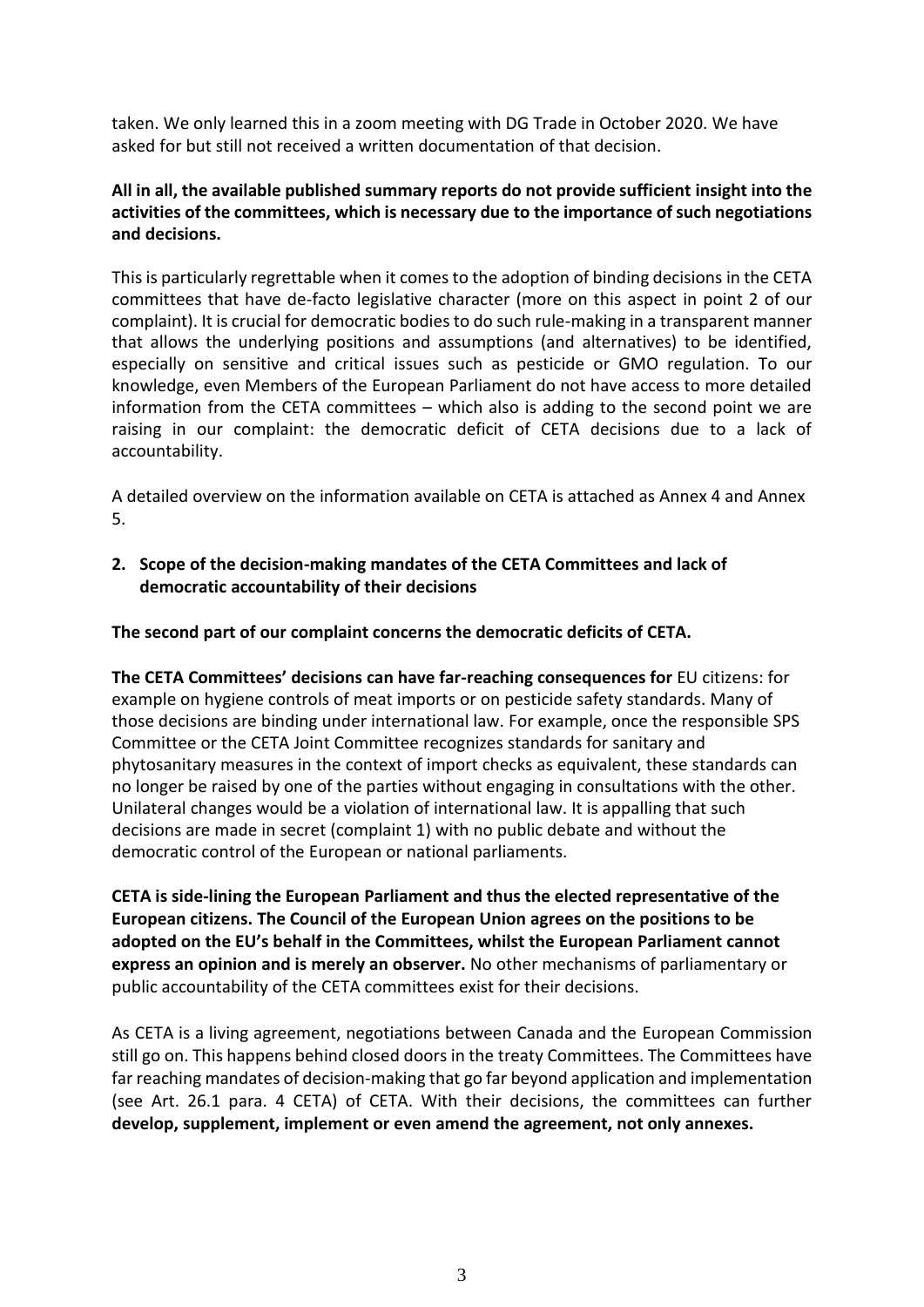taken. We only learned this in a zoom meeting with DG Trade in October 2020. We have asked for but still not received a written documentation of that decision.

# **All in all, the available published summary reports do not provide sufficient insight into the activities of the committees, which is necessary due to the importance of such negotiations and decisions.**

This is particularly regrettable when it comes to the adoption of binding decisions in the CETA committees that have de-facto legislative character (more on this aspect in point 2 of our complaint). It is crucial for democratic bodies to do such rule-making in a transparent manner that allows the underlying positions and assumptions (and alternatives) to be identified, especially on sensitive and critical issues such as pesticide or GMO regulation. To our knowledge, even Members of the European Parliament do not have access to more detailed information from the CETA committees – which also is adding to the second point we are raising in our complaint: the democratic deficit of CETA decisions due to a lack of accountability.

A detailed overview on the information available on CETA is attached as Annex 4 and Annex 5.

**2. Scope of the decision-making mandates of the CETA Committees and lack of democratic accountability of their decisions** 

**The second part of our complaint concerns the democratic deficits of CETA.**

**The CETA Committees' decisions can have far-reaching consequences for** EU citizens: for example on hygiene controls of meat imports or on pesticide safety standards. Many of those decisions are binding under international law. For example, once the responsible SPS Committee or the CETA Joint Committee recognizes standards for sanitary and phytosanitary measures in the context of import checks as equivalent, these standards can no longer be raised by one of the parties without engaging in consultations with the other. Unilateral changes would be a violation of international law. It is appalling that such decisions are made in secret (complaint 1) with no public debate and without the democratic control of the European or national parliaments.

**CETA is side-lining the European Parliament and thus the elected representative of the European citizens. The Council of the European Union agrees on the positions to be adopted on the EU's behalf in the Committees, whilst the European Parliament cannot express an opinion and is merely an observer.** No other mechanisms of parliamentary or public accountability of the CETA committees exist for their decisions.

As CETA is a living agreement, negotiations between Canada and the European Commission still go on. This happens behind closed doors in the treaty Committees. The Committees have far reaching mandates of decision-making that go far beyond application and implementation (see Art. 26.1 para. 4 CETA) of CETA. With their decisions, the committees can further **develop, supplement, implement or even amend the agreement, not only annexes.**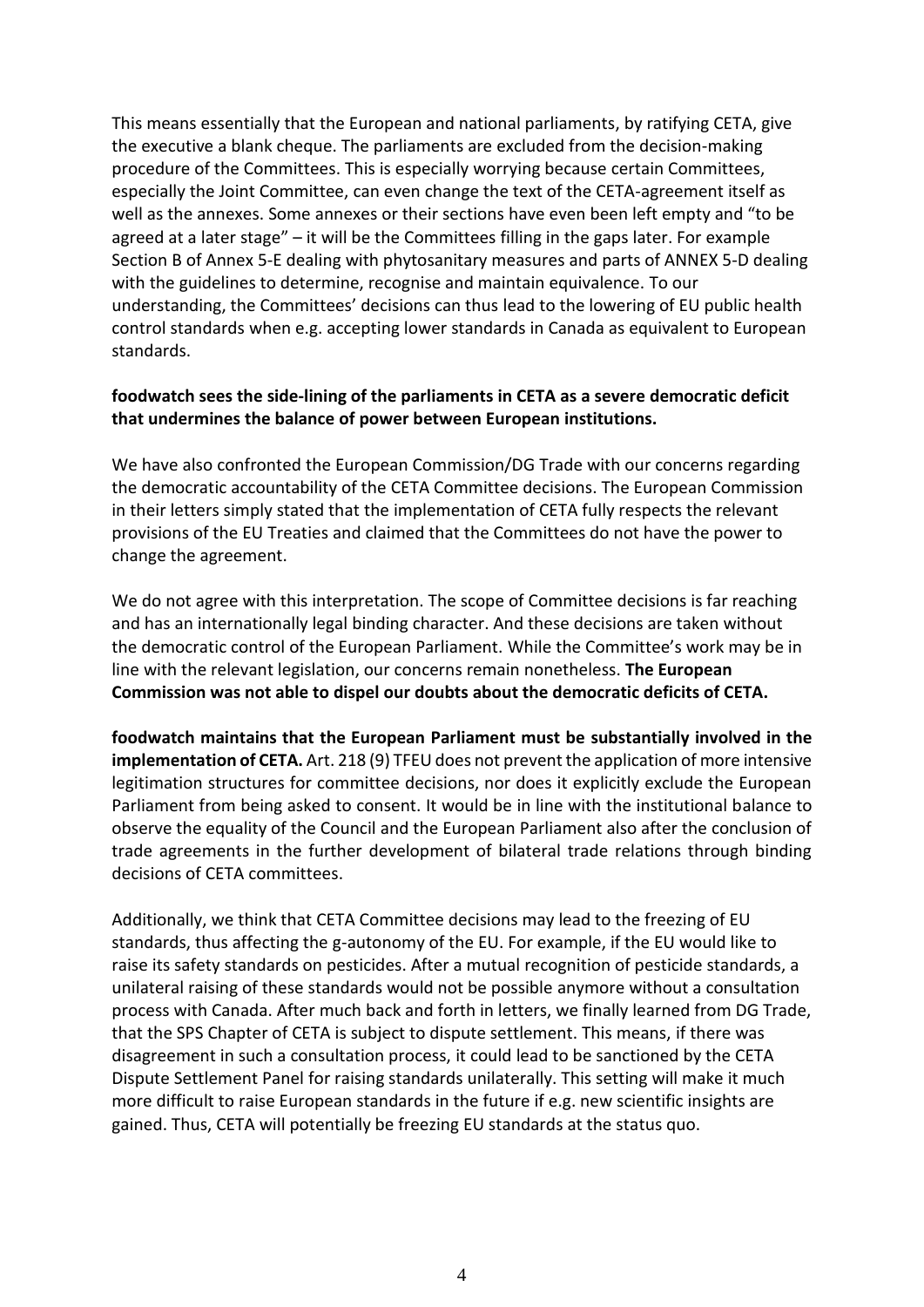This means essentially that the European and national parliaments, by ratifying CETA, give the executive a blank cheque. The parliaments are excluded from the decision-making procedure of the Committees. This is especially worrying because certain Committees, especially the Joint Committee, can even change the text of the CETA-agreement itself as well as the annexes. Some annexes or their sections have even been left empty and "to be agreed at a later stage" – it will be the Committees filling in the gaps later. For example Section B of Annex 5-E dealing with phytosanitary measures and parts of ANNEX 5-D dealing with the guidelines to determine, recognise and maintain equivalence. To our understanding, the Committees' decisions can thus lead to the lowering of EU public health control standards when e.g. accepting lower standards in Canada as equivalent to European standards.

## **foodwatch sees the side-lining of the parliaments in CETA as a severe democratic deficit that undermines the balance of power between European institutions.**

We have also confronted the European Commission/DG Trade with our concerns regarding the democratic accountability of the CETA Committee decisions. The European Commission in their letters simply stated that the implementation of CETA fully respects the relevant provisions of the EU Treaties and claimed that the Committees do not have the power to change the agreement.

We do not agree with this interpretation. The scope of Committee decisions is far reaching and has an internationally legal binding character. And these decisions are taken without the democratic control of the European Parliament. While the Committee's work may be in line with the relevant legislation, our concerns remain nonetheless. **The European Commission was not able to dispel our doubts about the democratic deficits of CETA.** 

**foodwatch maintains that the European Parliament must be substantially involved in the implementation of CETA.** Art. 218 (9) TFEU does not prevent the application of more intensive legitimation structures for committee decisions, nor does it explicitly exclude the European Parliament from being asked to consent. It would be in line with the institutional balance to observe the equality of the Council and the European Parliament also after the conclusion of trade agreements in the further development of bilateral trade relations through binding decisions of CETA committees.

Additionally, we think that CETA Committee decisions may lead to the freezing of EU standards, thus affecting the g-autonomy of the EU. For example, if the EU would like to raise its safety standards on pesticides. After a mutual recognition of pesticide standards, a unilateral raising of these standards would not be possible anymore without a consultation process with Canada. After much back and forth in letters, we finally learned from DG Trade, that the SPS Chapter of CETA is subject to dispute settlement. This means, if there was disagreement in such a consultation process, it could lead to be sanctioned by the CETA Dispute Settlement Panel for raising standards unilaterally. This setting will make it much more difficult to raise European standards in the future if e.g. new scientific insights are gained. Thus, CETA will potentially be freezing EU standards at the status quo.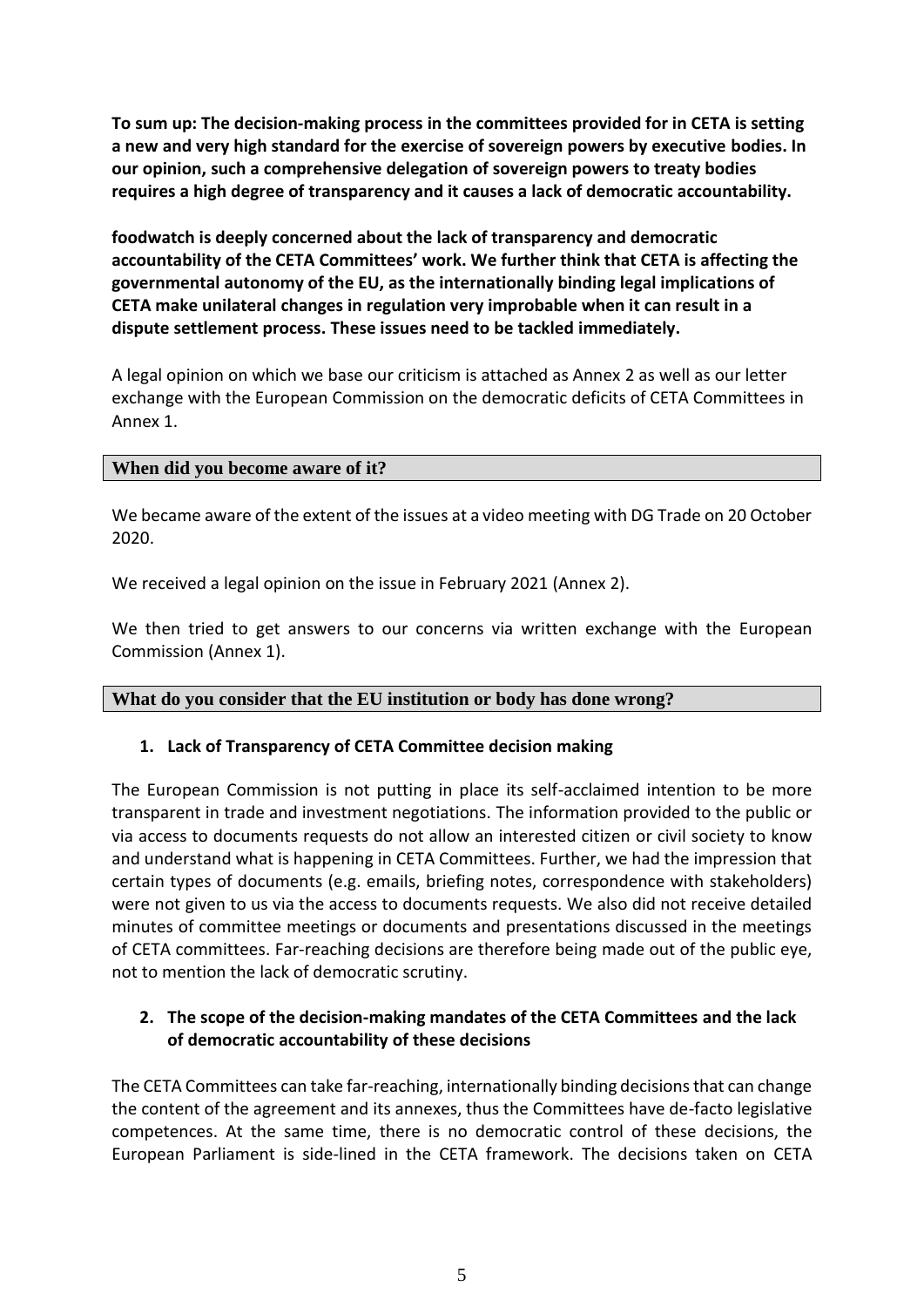**To sum up: The decision-making process in the committees provided for in CETA is setting a new and very high standard for the exercise of sovereign powers by executive bodies. In our opinion, such a comprehensive delegation of sovereign powers to treaty bodies requires a high degree of transparency and it causes a lack of democratic accountability.**

**foodwatch is deeply concerned about the lack of transparency and democratic accountability of the CETA Committees' work. We further think that CETA is affecting the governmental autonomy of the EU, as the internationally binding legal implications of CETA make unilateral changes in regulation very improbable when it can result in a dispute settlement process. These issues need to be tackled immediately.** 

A legal opinion on which we base our criticism is attached as Annex 2 as well as our letter exchange with the European Commission on the democratic deficits of CETA Committees in Annex 1.

## **When did you become aware of it?**

We became aware of the extent of the issues at a video meeting with DG Trade on 20 October 2020.

We received a legal opinion on the issue in February 2021 (Annex 2).

We then tried to get answers to our concerns via written exchange with the European Commission (Annex 1).

#### **What do you consider that the EU institution or body has done wrong?**

## **1. Lack of Transparency of CETA Committee decision making**

The European Commission is not putting in place its self-acclaimed intention to be more transparent in trade and investment negotiations. The information provided to the public or via access to documents requests do not allow an interested citizen or civil society to know and understand what is happening in CETA Committees. Further, we had the impression that certain types of documents (e.g. emails, briefing notes, correspondence with stakeholders) were not given to us via the access to documents requests. We also did not receive detailed minutes of committee meetings or documents and presentations discussed in the meetings of CETA committees. Far-reaching decisions are therefore being made out of the public eye, not to mention the lack of democratic scrutiny.

## **2. The scope of the decision-making mandates of the CETA Committees and the lack of democratic accountability of these decisions**

The CETA Committees can take far-reaching, internationally binding decisions that can change the content of the agreement and its annexes, thus the Committees have de-facto legislative competences. At the same time, there is no democratic control of these decisions, the European Parliament is side-lined in the CETA framework. The decisions taken on CETA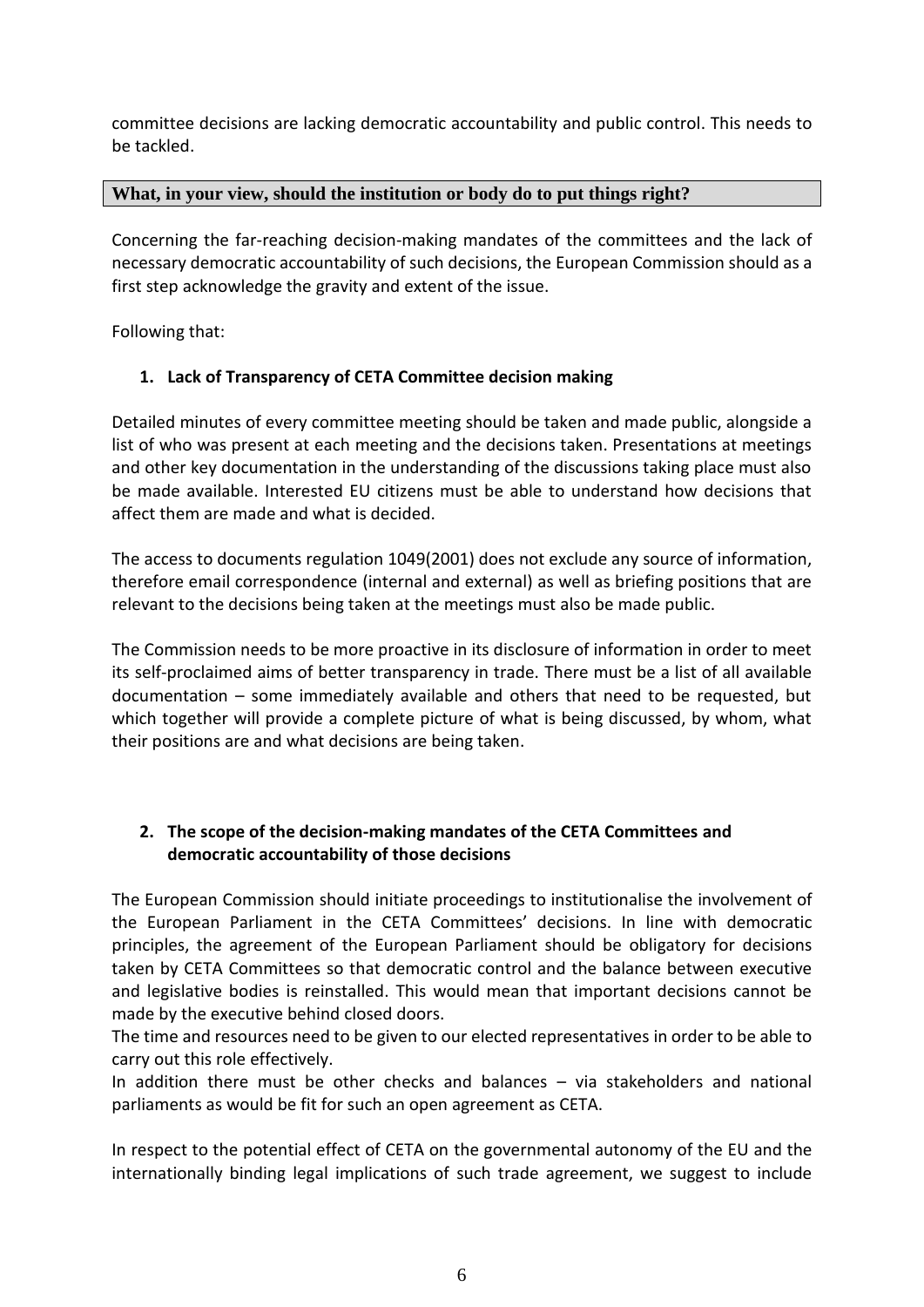committee decisions are lacking democratic accountability and public control. This needs to be tackled.

# **What, in your view, should the institution or body do to put things right?**

Concerning the far-reaching decision-making mandates of the committees and the lack of necessary democratic accountability of such decisions, the European Commission should as a first step acknowledge the gravity and extent of the issue.

Following that:

# **1. Lack of Transparency of CETA Committee decision making**

Detailed minutes of every committee meeting should be taken and made public, alongside a list of who was present at each meeting and the decisions taken. Presentations at meetings and other key documentation in the understanding of the discussions taking place must also be made available. Interested EU citizens must be able to understand how decisions that affect them are made and what is decided.

The access to documents regulation 1049(2001) does not exclude any source of information, therefore email correspondence (internal and external) as well as briefing positions that are relevant to the decisions being taken at the meetings must also be made public.

The Commission needs to be more proactive in its disclosure of information in order to meet its self-proclaimed aims of better transparency in trade. There must be a list of all available documentation – some immediately available and others that need to be requested, but which together will provide a complete picture of what is being discussed, by whom, what their positions are and what decisions are being taken.

# **2. The scope of the decision-making mandates of the CETA Committees and democratic accountability of those decisions**

The European Commission should initiate proceedings to institutionalise the involvement of the European Parliament in the CETA Committees' decisions. In line with democratic principles, the agreement of the European Parliament should be obligatory for decisions taken by CETA Committees so that democratic control and the balance between executive and legislative bodies is reinstalled. This would mean that important decisions cannot be made by the executive behind closed doors.

The time and resources need to be given to our elected representatives in order to be able to carry out this role effectively.

In addition there must be other checks and balances – via stakeholders and national parliaments as would be fit for such an open agreement as CETA.

In respect to the potential effect of CETA on the governmental autonomy of the EU and the internationally binding legal implications of such trade agreement, we suggest to include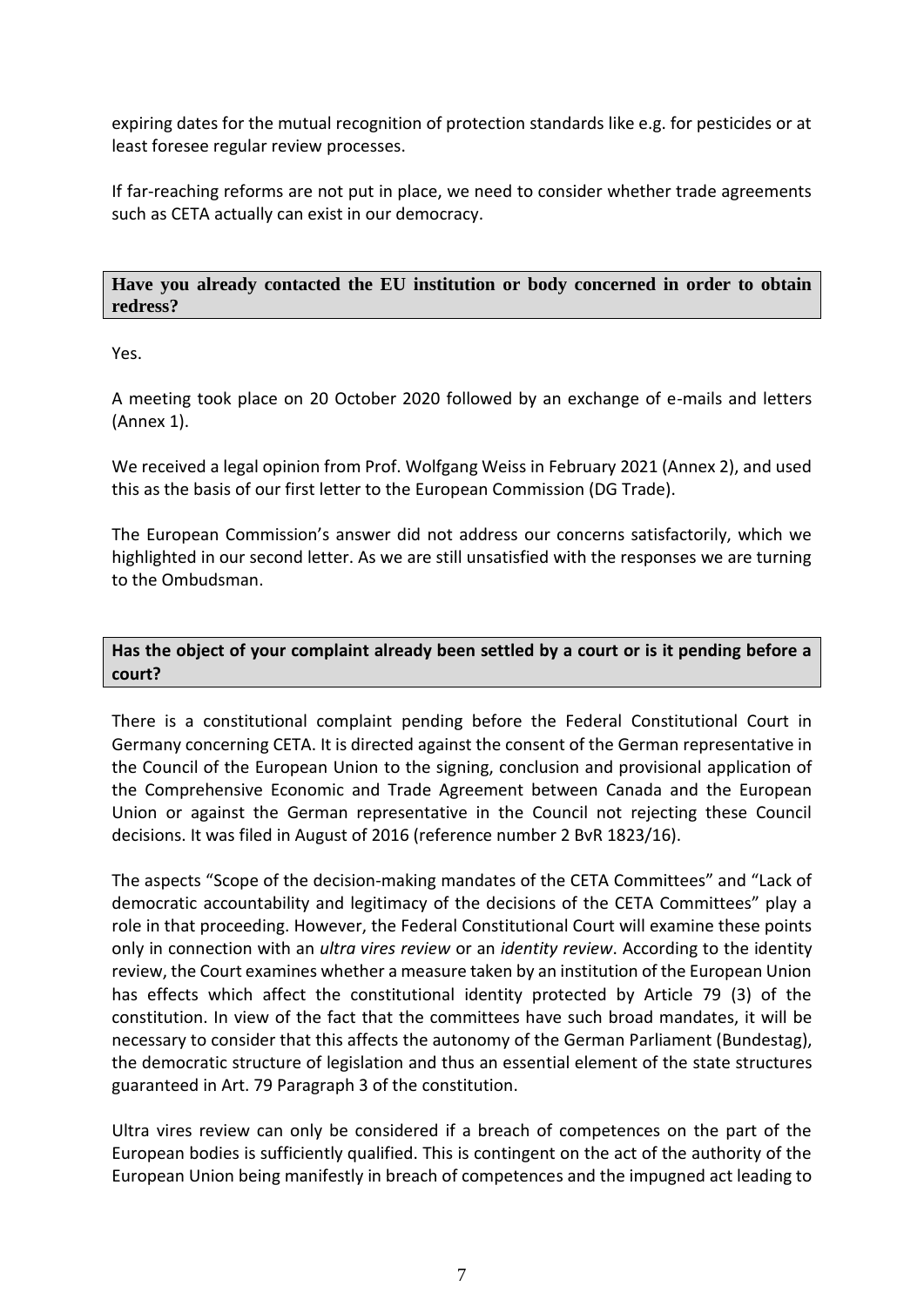expiring dates for the mutual recognition of protection standards like e.g. for pesticides or at least foresee regular review processes.

If far-reaching reforms are not put in place, we need to consider whether trade agreements such as CETA actually can exist in our democracy.

#### **Have you already contacted the EU institution or body concerned in order to obtain redress?**

Yes.

A meeting took place on 20 October 2020 followed by an exchange of e-mails and letters (Annex 1).

We received a legal opinion from Prof. Wolfgang Weiss in February 2021 (Annex 2), and used this as the basis of our first letter to the European Commission (DG Trade).

The European Commission's answer did not address our concerns satisfactorily, which we highlighted in our second letter. As we are still unsatisfied with the responses we are turning to the Ombudsman.

# **Has the object of your complaint already been settled by a court or is it pending before a court?**

There is a constitutional complaint pending before the Federal Constitutional Court in Germany concerning CETA. It is directed against the consent of the German representative in the Council of the European Union to the signing, conclusion and provisional application of the Comprehensive Economic and Trade Agreement between Canada and the European Union or against the German representative in the Council not rejecting these Council decisions. It was filed in August of 2016 (reference number 2 BvR 1823/16).

The aspects "Scope of the decision-making mandates of the CETA Committees" and "Lack of democratic accountability and legitimacy of the decisions of the CETA Committees" play a role in that proceeding. However, the Federal Constitutional Court will examine these points only in connection with an *ultra vires review* or an *identity review*. According to the identity review, the Court examines whether a measure taken by an institution of the European Union has effects which affect the constitutional identity protected by Article 79 (3) of the constitution. In view of the fact that the committees have such broad mandates, it will be necessary to consider that this affects the autonomy of the German Parliament (Bundestag), the democratic structure of legislation and thus an essential element of the state structures guaranteed in Art. 79 Paragraph 3 of the constitution.

Ultra vires review can only be considered if a breach of competences on the part of the European bodies is sufficiently qualified. This is contingent on the act of the authority of the European Union being manifestly in breach of competences and the impugned act leading to